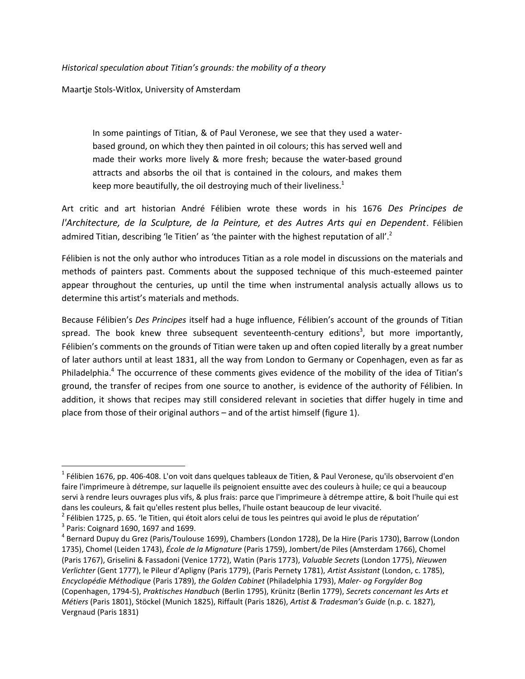*Historical speculation about Titian's grounds: the mobility of a theory*

Maartje Stols-Witlox, University of Amsterdam

 $\overline{\phantom{a}}$ 

In some paintings of Titian, & of Paul Veronese, we see that they used a waterbased ground, on which they then painted in oil colours; this has served well and made their works more lively & more fresh; because the water-based ground attracts and absorbs the oil that is contained in the colours, and makes them keep more beautifully, the oil destroying much of their liveliness.<sup>1</sup>

Art critic and art historian André Félibien wrote these words in his 1676 *Des Principes de l'Architecture, de la Sculpture, de la Peinture, et des Autres Arts qui en Dependent*. Félibien admired Titian, describing 'le Titien' as 'the painter with the highest reputation of all'.<sup>2</sup>

Félibien is not the only author who introduces Titian as a role model in discussions on the materials and methods of painters past. Comments about the supposed technique of this much-esteemed painter appear throughout the centuries, up until the time when instrumental analysis actually allows us to determine this artist's materials and methods.

Because Félibien's *Des Principes* itself had a huge influence, Félibien's account of the grounds of Titian spread. The book knew three subsequent seventeenth-century editions<sup>3</sup>, but more importantly, Félibien's comments on the grounds of Titian were taken up and often copied literally by a great number of later authors until at least 1831, all the way from London to Germany or Copenhagen, even as far as Philadelphia.<sup>4</sup> The occurrence of these comments gives evidence of the mobility of the idea of Titian's ground, the transfer of recipes from one source to another, is evidence of the authority of Félibien. In addition, it shows that recipes may still considered relevant in societies that differ hugely in time and place from those of their original authors – and of the artist himself (figure 1).

<sup>&</sup>lt;sup>1</sup> Félibien 1676, pp. 406-408. L'on voit dans quelques tableaux de Titien, & Paul Veronese, qu'ils observoient d'en faire l'imprimeure à détrempe, sur laquelle ils peignoient ensuitte avec des couleurs à huile; ce qui a beaucoup servi à rendre leurs ouvrages plus vifs, & plus frais: parce que l'imprimeure à détrempe attire, & boit l'huile qui est dans les couleurs, & fait qu'elles restent plus belles, l'huile ostant beaucoup de leur vivacité.

<sup>&</sup>lt;sup>2</sup> Félibien 1725, p. 65. 'le Titien, qui étoit alors celui de tous les peintres qui avoid le plus de réputation'  $3$  Paris: Coignard 1690, 1697 and 1699.

<sup>4</sup> Bernard Dupuy du Grez (Paris/Toulouse 1699), Chambers (London 1728), De la Hire (Paris 1730), Barrow (London 1735), Chomel (Leiden 1743), *École de la Mignature* (Paris 1759), Jombert/de Piles (Amsterdam 1766), Chomel (Paris 1767), Griselini & Fassadoni (Venice 1772), Watin (Paris 1773), *Valuable Secrets* (London 1775), *Nieuwen Verlichter* (Gent 1777), le Pileur d'Apligny (Paris 1779), (Paris Pernety 1781), *Artist Assistant* (London, c. 1785), *Encyclopédie Méthodique* (Paris 1789), *the Golden Cabinet* (Philadelphia 1793), *Maler- og Forgylder Bog* (Copenhagen, 1794-5), *Praktisches Handbuch* (Berlin 1795), Krünitz (Berlin 1779), *Secrets concernant les Arts et Métiers* (Paris 1801), Stöckel (Munich 1825), Riffault (Paris 1826), *Artist & Tradesman's Guide* (n.p. c. 1827), Vergnaud (Paris 1831)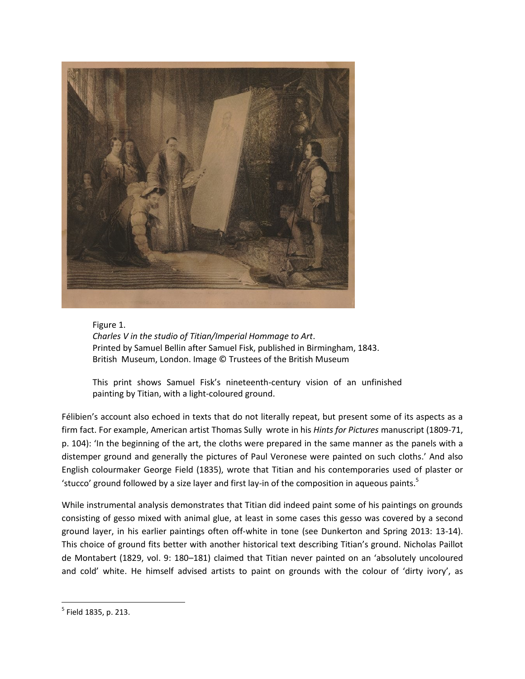

Figure 1. *Charles V in the studio of Titian/Imperial Hommage to Art*. Printed by Samuel Bellin after Samuel Fisk, published in Birmingham, 1843. British Museum, London. Image © Trustees of the British Museum

This print shows Samuel Fisk's nineteenth-century vision of an unfinished painting by Titian, with a light-coloured ground.

Félibien's account also echoed in texts that do not literally repeat, but present some of its aspects as a firm fact. For example, American artist Thomas Sully wrote in his *Hints for Pictures* manuscript (1809-71, p. 104): 'In the beginning of the art, the cloths were prepared in the same manner as the panels with a distemper ground and generally the pictures of Paul Veronese were painted on such cloths.' And also English colourmaker George Field (1835), wrote that Titian and his contemporaries used of plaster or 'stucco' ground followed by a size layer and first lay-in of the composition in aqueous paints.<sup>5</sup>

While instrumental analysis demonstrates that Titian did indeed paint some of his paintings on grounds consisting of gesso mixed with animal glue, at least in some cases this gesso was covered by a second ground layer, in his earlier paintings often off-white in tone (see Dunkerton and Spring 2013: 13-14). This choice of ground fits better with another historical text describing Titian's ground. Nicholas Paillot de Montabert (1829, vol. 9: 180–181) claimed that Titian never painted on an 'absolutely uncoloured and cold' white. He himself advised artists to paint on grounds with the colour of 'dirty ivory', as

 $\overline{\phantom{a}}$ <sup>5</sup> Field 1835, p. 213.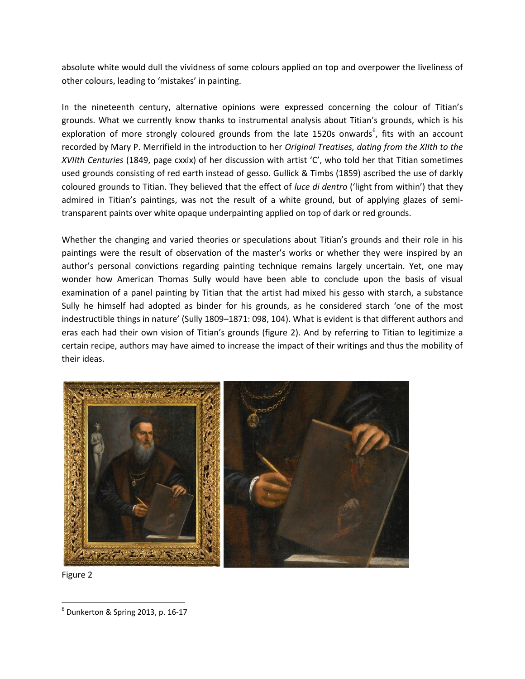absolute white would dull the vividness of some colours applied on top and overpower the liveliness of other colours, leading to 'mistakes' in painting.

In the nineteenth century, alternative opinions were expressed concerning the colour of Titian's grounds. What we currently know thanks to instrumental analysis about Titian's grounds, which is his exploration of more strongly coloured grounds from the late 1520s onwards<sup>6</sup>, fits with an account recorded by Mary P. Merrifield in the introduction to her *Original Treatises, dating from the XIIth to the XVIIth Centuries* (1849, page cxxix) of her discussion with artist 'C', who told her that Titian sometimes used grounds consisting of red earth instead of gesso. Gullick & Timbs (1859) ascribed the use of darkly coloured grounds to Titian. They believed that the effect of *luce di dentro* ('light from within') that they admired in Titian's paintings, was not the result of a white ground, but of applying glazes of semitransparent paints over white opaque underpainting applied on top of dark or red grounds.

Whether the changing and varied theories or speculations about Titian's grounds and their role in his paintings were the result of observation of the master's works or whether they were inspired by an author's personal convictions regarding painting technique remains largely uncertain. Yet, one may wonder how American Thomas Sully would have been able to conclude upon the basis of visual examination of a panel painting by Titian that the artist had mixed his gesso with starch, a substance Sully he himself had adopted as binder for his grounds, as he considered starch 'one of the most indestructible things in nature' (Sully 1809–1871: 098, 104). What is evident is that different authors and eras each had their own vision of Titian's grounds (figure 2). And by referring to Titian to legitimize a certain recipe, authors may have aimed to increase the impact of their writings and thus the mobility of their ideas.



Figure 2

 $\overline{\phantom{a}}$ 

<sup>6</sup> Dunkerton & Spring 2013, p. 16-17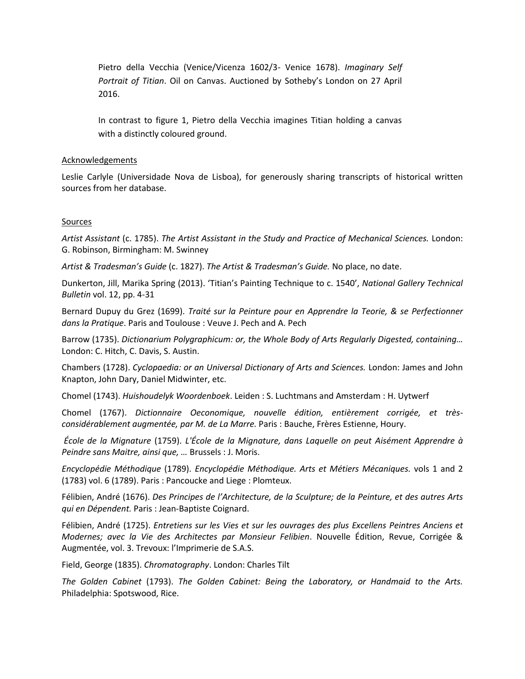Pietro della Vecchia (Venice/Vicenza 1602/3- Venice 1678). *Imaginary Self Portrait of Titian*. Oil on Canvas. Auctioned by Sotheby's London on 27 April 2016.

In contrast to figure 1, Pietro della Vecchia imagines Titian holding a canvas with a distinctly coloured ground.

## **Acknowledgements**

Leslie Carlyle (Universidade Nova de Lisboa), for generously sharing transcripts of historical written sources from her database.

## **Sources**

*Artist Assistant* (c. 1785). *The Artist Assistant in the Study and Practice of Mechanical Sciences.* London: G. Robinson, Birmingham: M. Swinney

*Artist & Tradesman's Guide* (c. 1827). *The Artist & Tradesman's Guide.* No place, no date.

Dunkerton, Jill, Marika Spring (2013). 'Titian's Painting Technique to c. 1540', *National Gallery Technical Bulletin* vol. 12, pp. 4-31

Bernard Dupuy du Grez (1699). *Traité sur la Peinture pour en Apprendre la Teorie, & se Perfectionner dans la Pratique*. Paris and Toulouse : Veuve J. Pech and A. Pech

Barrow (1735). *Dictionarium Polygraphicum: or, the Whole Body of Arts Regularly Digested, containing…* London: C. Hitch, C. Davis, S. Austin.

Chambers (1728). *Cyclopaedia: or an Universal Dictionary of Arts and Sciences.* London: James and John Knapton, John Dary, Daniel Midwinter, etc.

Chomel (1743). *Huishoudelyk Woordenboek*. Leiden : S. Luchtmans and Amsterdam : H. Uytwerf

Chomel (1767). *Dictionnaire Oeconomique, nouvelle édition, entièrement corrigée, et trèsconsidérablement augmentée, par M. de La Marre.* Paris : Bauche, Frères Estienne, Houry.

*École de la Mignature* (1759). *L'École de la Mignature, dans Laquelle on peut Aisément Apprendre à Peindre sans Maitre, ainsi que, …* Brussels : J. Moris.

*Encyclopédie Méthodique* (1789). *Encyclopédie Méthodique. Arts et Métiers Mécaniques.* vols 1 and 2 (1783) vol. 6 (1789). Paris : Pancoucke and Liege : Plomteux.

Félibien, André (1676). *Des Principes de l'Architecture, de la Sculpture; de la Peinture, et des autres Arts qui en Dépendent.* Paris : Jean-Baptiste Coignard.

Félibien, André (1725). *Entretiens sur les Vies et sur les ouvrages des plus Excellens Peintres Anciens et Modernes; avec la Vie des Architectes par Monsieur Felibien*. Nouvelle Édition, Revue, Corrigée & Augmentée, vol. 3. Trevoux: l'Imprimerie de S.A.S.

Field, George (1835). *Chromatography*. London: Charles Tilt

*The Golden Cabinet* (1793). *The Golden Cabinet: Being the Laboratory, or Handmaid to the Arts.* Philadelphia: Spotswood, Rice.